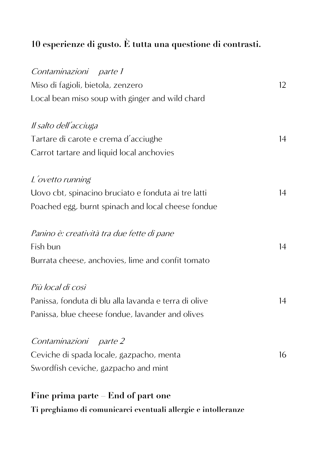## **10 esperienze di gusto. È tutta una questione di contrasti.**

| Contaminazioni parte 1                                        |    |
|---------------------------------------------------------------|----|
| Miso di fagioli, bietola, zenzero                             | 12 |
| Local bean miso soup with ginger and wild chard               |    |
| Il salto dell'acciuga                                         |    |
| Tartare di carote e crema d'acciughe                          | 14 |
| Carrot tartare and liquid local anchovies                     |    |
| L'ovetto running                                              |    |
| Uovo cbt, spinacino bruciato e fonduta ai tre latti           | 14 |
| Poached egg, burnt spinach and local cheese fondue            |    |
| Panino è: creatività tra due fette di pane                    |    |
| Fish bun                                                      | 14 |
| Burrata cheese, anchovies, lime and confit tomato             |    |
| Più local di così                                             |    |
| Panissa, fonduta di blu alla lavanda e terra di olive         | 14 |
| Panissa, blue cheese fondue, lavander and olives              |    |
| Contaminazioni parte 2                                        |    |
| Ceviche di spada locale, gazpacho, menta                      | 16 |
| Swordfish ceviche, gazpacho and mint                          |    |
| Fine prima parte End of part one                              |    |
| Ti preghiamo di comunicarci eventuali allergie e intolleranze |    |